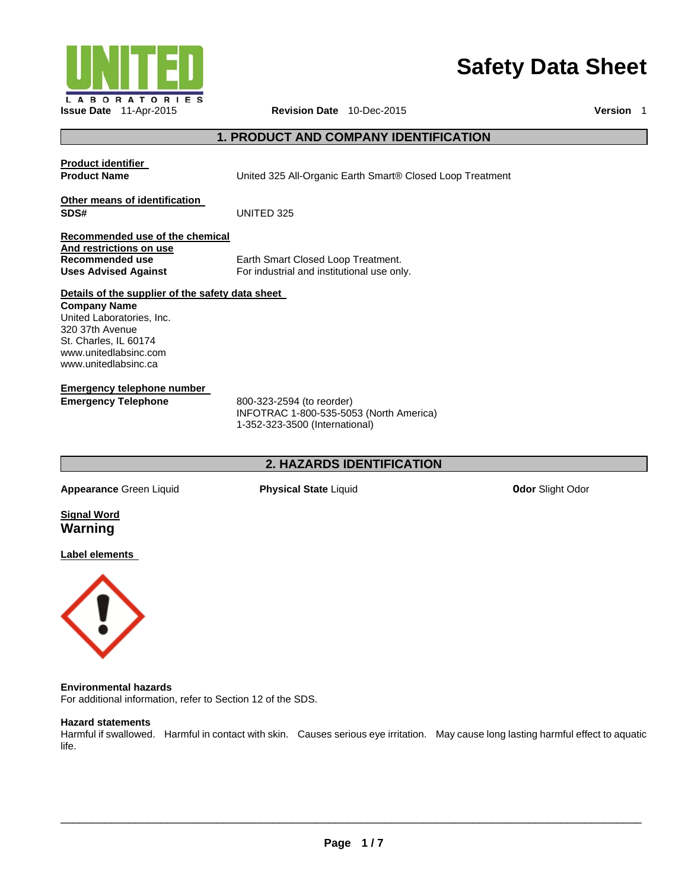

# **Safety Data Sheet**

# **1. PRODUCT AND COMPANY IDENTIFICATION**

**Product identifier** 

**Product Name** United 325 All-Organic Earth Smart® Closed Loop Treatment

**Other means of identification SDS#** UNITED 325

**Recommended use of the chemical And restrictions on use Recommended use Uses Advised Against** 

Earth Smart Closed Loop Treatment. For industrial and institutional use only.

#### **Details of the supplier of the safety data sheet**

**Company Name**  United Laboratories, Inc. 320 37th Avenue St. Charles, IL 60174 www.unitedlabsinc.com www.unitedlabsinc.ca

**Emergency telephone number Emergency Telephone** 800-323-2594 (to reorder)

INFOTRAC 1-800-535-5053 (North America) 1-352-323-3500 (International)

## **2. HAZARDS IDENTIFICATION**

**Appearance Green Liquid Physical State Liquid Constant Community Constant Or and Constant Odor Slight Odor <b>Slight Odor Physical State Liquid** 

# **Signal Word Warning**

**Label elements** 



#### **Environmental hazards**

For additional information, refer to Section 12 of the SDS.

## **Hazard statements**

Harmful if swallowed. Harmful in contact with skin. Causes serious eye irritation. May cause long lasting harmful effect to aquatic life.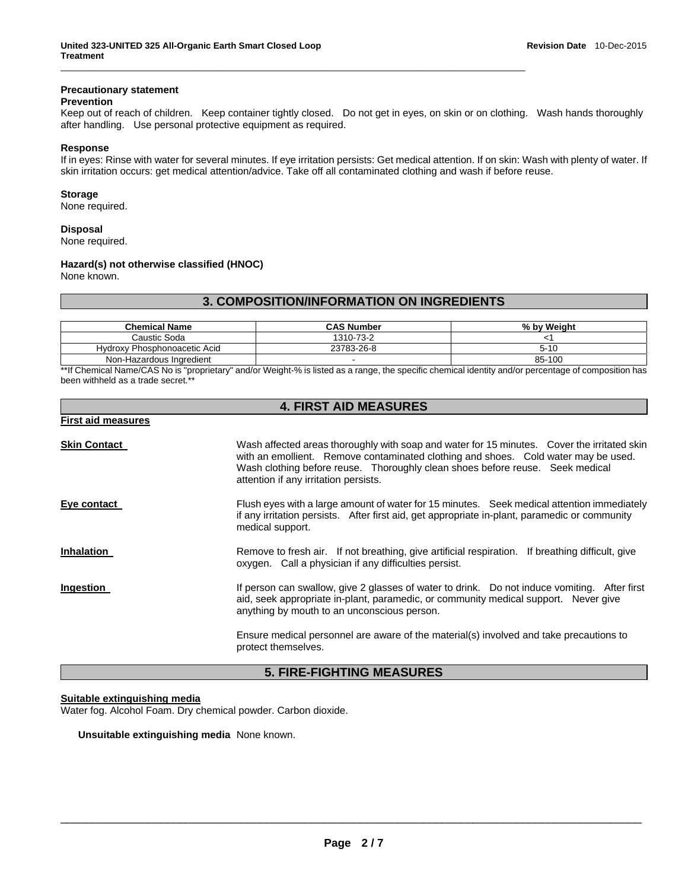## **Precautionary statement**

## **Prevention**

Keep out of reach of children. Keep container tightly closed. Do not get in eyes, on skin or on clothing. Wash hands thoroughly after handling. Use personal protective equipment as required.

 $\_$  ,  $\_$  ,  $\_$  ,  $\_$  ,  $\_$  ,  $\_$  ,  $\_$  ,  $\_$  ,  $\_$  ,  $\_$  ,  $\_$  ,  $\_$  ,  $\_$  ,  $\_$  ,  $\_$  ,  $\_$  ,  $\_$  ,  $\_$  ,  $\_$ 

#### **Response**

If in eyes: Rinse with water for several minutes. If eye irritation persists: Get medical attention. If on skin: Wash with plenty of water. If skin irritation occurs: get medical attention/advice. Take off all contaminated clothing and wash if before reuse.

#### **Storage**

None required.

#### **Disposal**

None required.

## **Hazard(s) not otherwise classified (HNOC)**

None known.

# **3. COMPOSITION/INFORMATION ON INGREDIENTS**

| <b>Chemical Name</b>         | <b>CAS Number</b> | % by Weight |
|------------------------------|-------------------|-------------|
| Caustic Soda                 | 1310-73-2         |             |
| Hydroxy Phosphonoacetic Acid | 23783-26-8        | 5-10        |
| Non-Hazardous Ingredient     |                   | 85-100      |

\*\*If Chemical Name/CAS No is "proprietary" and/or Weight-% is listed as a range, the specific chemical identity and/or percentage of composition has been withheld as a trade secret.\*

| <b>4. FIRST AID MEASURES</b> |                                                                                                                                                                                                                                                                                                             |  |  |
|------------------------------|-------------------------------------------------------------------------------------------------------------------------------------------------------------------------------------------------------------------------------------------------------------------------------------------------------------|--|--|
| <b>First aid measures</b>    |                                                                                                                                                                                                                                                                                                             |  |  |
| Skin Contact                 | Wash affected areas thoroughly with soap and water for 15 minutes. Cover the irritated skin<br>with an emollient. Remove contaminated clothing and shoes. Cold water may be used.<br>Wash clothing before reuse. Thoroughly clean shoes before reuse. Seek medical<br>attention if any irritation persists. |  |  |
| Eve contact                  | Flush eyes with a large amount of water for 15 minutes. Seek medical attention immediately<br>if any irritation persists. After first aid, get appropriate in-plant, paramedic or community<br>medical support.                                                                                             |  |  |
| Inhalation                   | Remove to fresh air. If not breathing, give artificial respiration. If breathing difficult, give<br>oxygen. Call a physician if any difficulties persist.                                                                                                                                                   |  |  |
| Ingestion                    | If person can swallow, give 2 glasses of water to drink. Do not induce vomiting. After first<br>aid, seek appropriate in-plant, paramedic, or community medical support. Never give<br>anything by mouth to an unconscious person.                                                                          |  |  |
|                              | Ensure medical personnel are aware of the material(s) involved and take precautions to<br>protect themselves.                                                                                                                                                                                               |  |  |

## **5. FIRE-FIGHTING MEASURES**

## **Suitable extinguishing media**

Water fog. Alcohol Foam. Dry chemical powder. Carbon dioxide.

**Unsuitable extinguishing media** None known.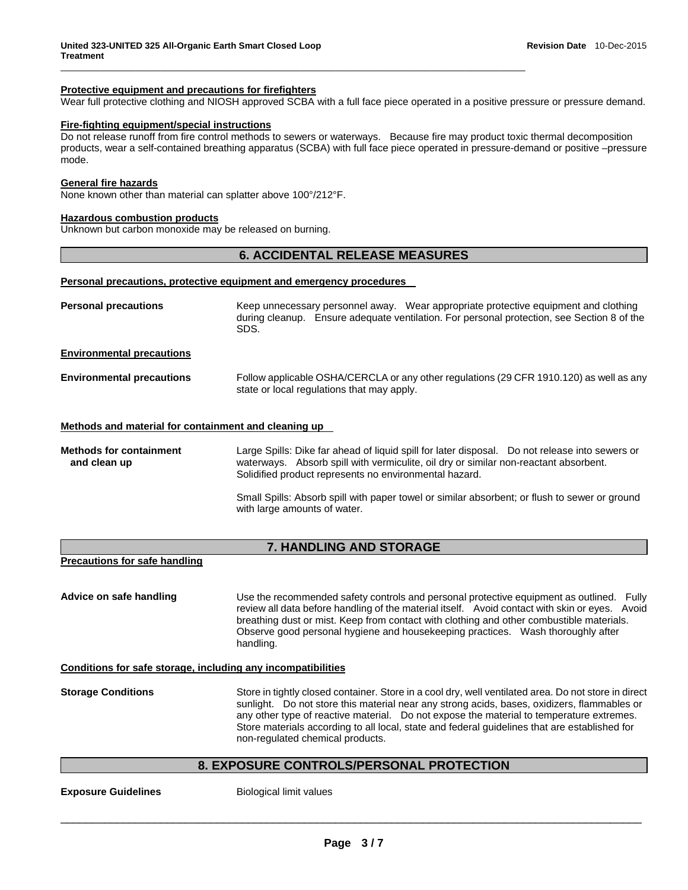## **Protective equipment and precautions for firefighters**

Wear full protective clothing and NIOSH approved SCBA with a full face piece operated in a positive pressure or pressure demand.

 $\_$  ,  $\_$  ,  $\_$  ,  $\_$  ,  $\_$  ,  $\_$  ,  $\_$  ,  $\_$  ,  $\_$  ,  $\_$  ,  $\_$  ,  $\_$  ,  $\_$  ,  $\_$  ,  $\_$  ,  $\_$  ,  $\_$  ,  $\_$  ,  $\_$ 

## **Fire-fighting equipment/special instructions**

Do not release runoff from fire control methods to sewers or waterways. Because fire may product toxic thermal decomposition products, wear a self-contained breathing apparatus (SCBA) with full face piece operated in pressure-demand or positive –pressure mode.

#### **General fire hazards**

None known other than material can splatter above 100°/212°F.

#### **Hazardous combustion products**

Unknown but carbon monoxide may be released on burning.

## **6. ACCIDENTAL RELEASE MEASURES**

#### **Personal precautions, protective equipment and emergency procedures**

| <b>Personal precautions</b>                          | Keep unnecessary personnel away. Wear appropriate protective equipment and clothing<br>during cleanup. Ensure adequate ventilation. For personal protection, see Section 8 of the<br>SDS.                                                        |  |  |  |
|------------------------------------------------------|--------------------------------------------------------------------------------------------------------------------------------------------------------------------------------------------------------------------------------------------------|--|--|--|
| <b>Environmental precautions</b>                     |                                                                                                                                                                                                                                                  |  |  |  |
| <b>Environmental precautions</b>                     | Follow applicable OSHA/CERCLA or any other regulations (29 CFR 1910.120) as well as any<br>state or local regulations that may apply.                                                                                                            |  |  |  |
| Methods and material for containment and cleaning up |                                                                                                                                                                                                                                                  |  |  |  |
| <b>Methods for containment</b><br>and clean up       | Large Spills: Dike far ahead of liquid spill for later disposal. Do not release into sewers or<br>waterways. Absorb spill with vermiculite, oil dry or similar non-reactant absorbent.<br>Solidified product represents no environmental hazard. |  |  |  |
|                                                      | Small Spills: Absorb spill with paper towel or similar absorbent; or flush to sewer or ground<br>with large amounts of water.                                                                                                                    |  |  |  |

#### **7. HANDLING AND STORAGE**

**Precautions for safe handling** 

**Advice on safe handling** Use the recommended safety controls and personal protective equipment as outlined. Fully review all data before handling of the material itself. Avoid contact with skin or eyes. Avoid breathing dust or mist. Keep from contact with clothing and other combustible materials. Observe good personal hygiene and housekeeping practices. Wash thoroughly after handling.

**Conditions for safe storage, including any incompatibilities**

**Storage Conditions** Store in tightly closed container. Store in a cool dry, well ventilated area. Do not store in direct sunlight. Do not store this material near any strong acids, bases, oxidizers, flammables or any other type of reactive material. Do not expose the material to temperature extremes. Store materials according to all local, state and federal guidelines that are established for non-regulated chemical products.

## **8. EXPOSURE CONTROLS/PERSONAL PROTECTION**

**Exposure Guidelines Biological limit values**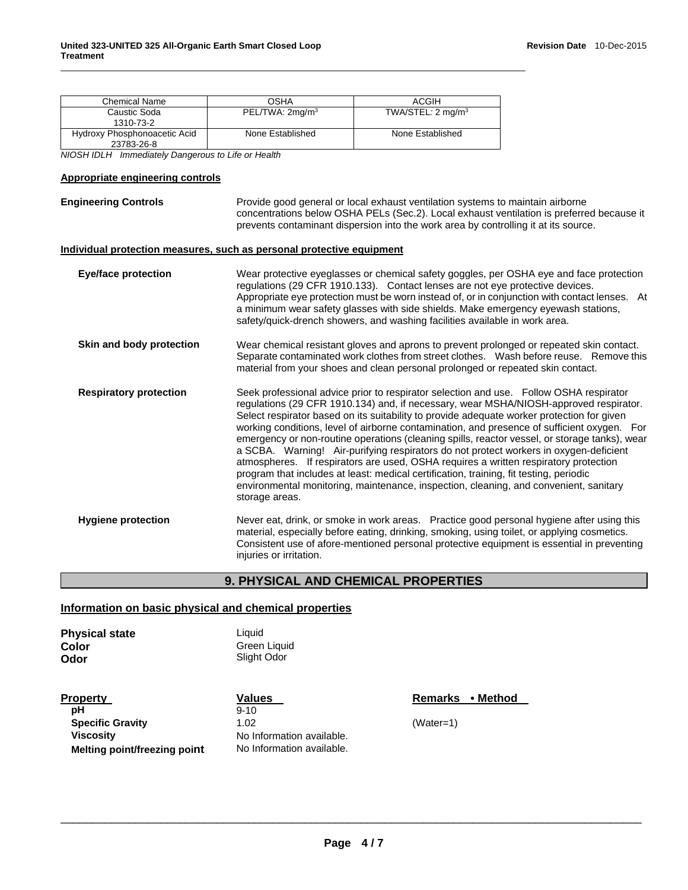| Chemical Name                              | OSHA                        | ACGIH                        |
|--------------------------------------------|-----------------------------|------------------------------|
| Caustic Soda<br>1310-73-2                  | PEL/TWA: 2mq/m <sup>3</sup> | TWA/STEL: $2 \text{ mg/m}^3$ |
| Hydroxy Phosphonoacetic Acid<br>23783-26-8 | None Established            | None Established             |

 $\_$  ,  $\_$  ,  $\_$  ,  $\_$  ,  $\_$  ,  $\_$  ,  $\_$  ,  $\_$  ,  $\_$  ,  $\_$  ,  $\_$  ,  $\_$  ,  $\_$  ,  $\_$  ,  $\_$  ,  $\_$  ,  $\_$  ,  $\_$  ,  $\_$ 

*NIOSH IDLH Immediately Dangerous to Life or Health* 

#### **Appropriate engineering controls**

| <b>Engineering Controls</b>   | Provide good general or local exhaust ventilation systems to maintain airborne<br>concentrations below OSHA PELs (Sec.2). Local exhaust ventilation is preferred because it<br>prevents contaminant dispersion into the work area by controlling it at its source.                                                                                                                                                                                                                                                                                                                                                                                                                                                                                                                                                                                                   |  |  |
|-------------------------------|----------------------------------------------------------------------------------------------------------------------------------------------------------------------------------------------------------------------------------------------------------------------------------------------------------------------------------------------------------------------------------------------------------------------------------------------------------------------------------------------------------------------------------------------------------------------------------------------------------------------------------------------------------------------------------------------------------------------------------------------------------------------------------------------------------------------------------------------------------------------|--|--|
|                               | Individual protection measures, such as personal protective equipment                                                                                                                                                                                                                                                                                                                                                                                                                                                                                                                                                                                                                                                                                                                                                                                                |  |  |
| <b>Eye/face protection</b>    | Wear protective eyeglasses or chemical safety goggles, per OSHA eye and face protection<br>regulations (29 CFR 1910.133). Contact lenses are not eye protective devices.<br>Appropriate eye protection must be worn instead of, or in conjunction with contact lenses. At<br>a minimum wear safety glasses with side shields. Make emergency eyewash stations,<br>safety/quick-drench showers, and washing facilities available in work area.                                                                                                                                                                                                                                                                                                                                                                                                                        |  |  |
| Skin and body protection      | Wear chemical resistant gloves and aprons to prevent prolonged or repeated skin contact.<br>Separate contaminated work clothes from street clothes.  Wash before reuse.  Remove this<br>material from your shoes and clean personal prolonged or repeated skin contact.                                                                                                                                                                                                                                                                                                                                                                                                                                                                                                                                                                                              |  |  |
| <b>Respiratory protection</b> | Seek professional advice prior to respirator selection and use.  Follow OSHA respirator<br>regulations (29 CFR 1910.134) and, if necessary, wear MSHA/NIOSH-approved respirator.<br>Select respirator based on its suitability to provide adequate worker protection for given<br>working conditions, level of airborne contamination, and presence of sufficient oxygen. For<br>emergency or non-routine operations (cleaning spills, reactor vessel, or storage tanks), wear<br>a SCBA. Warning! Air-purifying respirators do not protect workers in oxygen-deficient<br>atmospheres. If respirators are used, OSHA requires a written respiratory protection<br>program that includes at least: medical certification, training, fit testing, periodic<br>environmental monitoring, maintenance, inspection, cleaning, and convenient, sanitary<br>storage areas. |  |  |
| <b>Hygiene protection</b>     | Never eat, drink, or smoke in work areas. Practice good personal hygiene after using this<br>material, especially before eating, drinking, smoking, using toilet, or applying cosmetics.<br>Consistent use of afore-mentioned personal protective equipment is essential in preventing<br>injuries or irritation.                                                                                                                                                                                                                                                                                                                                                                                                                                                                                                                                                    |  |  |

# **9. PHYSICAL AND CHEMICAL PROPERTIES**

# **Information on basic physical and chemical properties**

| <b>Physical state</b><br>Color | Liquid<br>Green Liquid |  |  |
|--------------------------------|------------------------|--|--|
| Odor                           | Slight Odor            |  |  |
|                                |                        |  |  |
|                                |                        |  |  |
|                                |                        |  |  |

**Property**<br>  $\frac{ValueS}{9-10}$  Remarks • Method **Remarks** • Method **Specific Gravity** 1.02 (Water=1) **Viscosity Viscosity No Information available. Melting point/freezing point** No Information available.

 $\frac{9-10}{1.02}$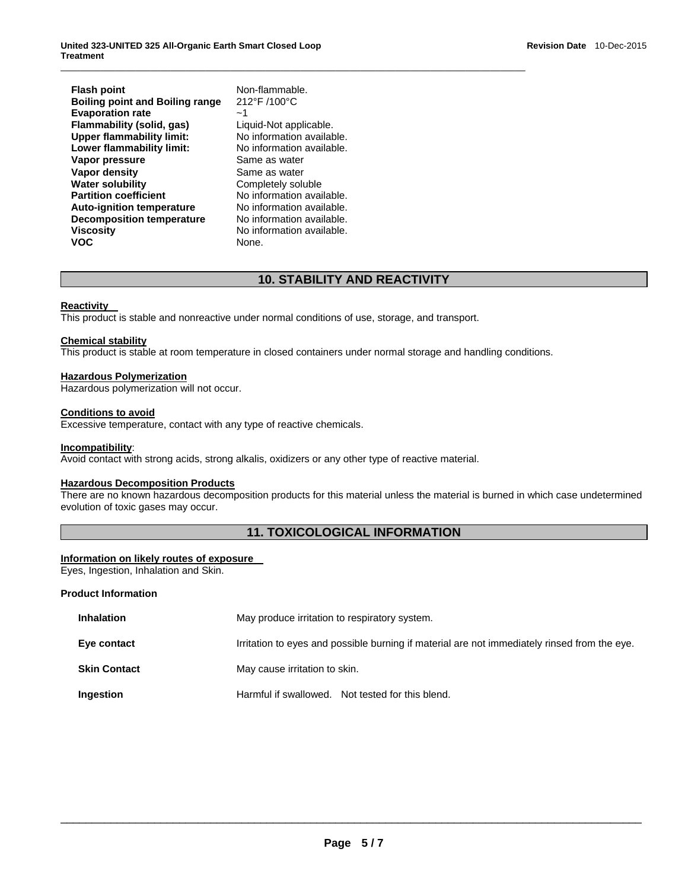| <b>Flash point</b>                                                   |
|----------------------------------------------------------------------|
| <b>Boiling point and Boiling range</b>                               |
| <b>Evaporation rate</b>                                              |
| <b>Flammability (solid, gas)</b><br><b>Upper flammability limit:</b> |
| Lower flammability limit:                                            |
| Vapor pressure                                                       |
| <b>Vapor density</b>                                                 |
| <b>Water solubility</b>                                              |
| <b>Partition coefficient</b>                                         |
| <b>Auto-ignition temperature</b>                                     |
| <b>Decomposition temperature</b>                                     |
| <b>Viscosity</b>                                                     |
| voc.                                                                 |

212°F /100°C  $~1$ Liquid-Not applicable. No information available. No information available. Same as water Same as water Completely soluble No information available. No information available. No information available. No information available. None.

 $\_$  ,  $\_$  ,  $\_$  ,  $\_$  ,  $\_$  ,  $\_$  ,  $\_$  ,  $\_$  ,  $\_$  ,  $\_$  ,  $\_$  ,  $\_$  ,  $\_$  ,  $\_$  ,  $\_$  ,  $\_$  ,  $\_$  ,  $\_$  ,  $\_$ 

Non-flammable.

# **10. STABILITY AND REACTIVITY**

#### **Reactivity**

This product is stable and nonreactive under normal conditions of use, storage, and transport.

#### **Chemical stability**

This product is stable at room temperature in closed containers under normal storage and handling conditions.

#### **Hazardous Polymerization**

Hazardous polymerization will not occur.

#### **Conditions to avoid**

Excessive temperature, contact with any type of reactive chemicals.

#### **Incompatibility**:

Avoid contact with strong acids, strong alkalis, oxidizers or any other type of reactive material.

#### **Hazardous Decomposition Products**

There are no known hazardous decomposition products for this material unless the material is burned in which case undetermined evolution of toxic gases may occur.

# **11. TOXICOLOGICAL INFORMATION**

#### **Information on likely routes of exposure**

Eyes, Ingestion, Inhalation and Skin.

#### **Product Information**

| <b>Inhalation</b>   | May produce irritation to respiratory system.                                                |  |  |
|---------------------|----------------------------------------------------------------------------------------------|--|--|
| Eye contact         | Irritation to eyes and possible burning if material are not immediately rinsed from the eye. |  |  |
| <b>Skin Contact</b> | May cause irritation to skin.                                                                |  |  |
| Ingestion           | Harmful if swallowed. Not tested for this blend.                                             |  |  |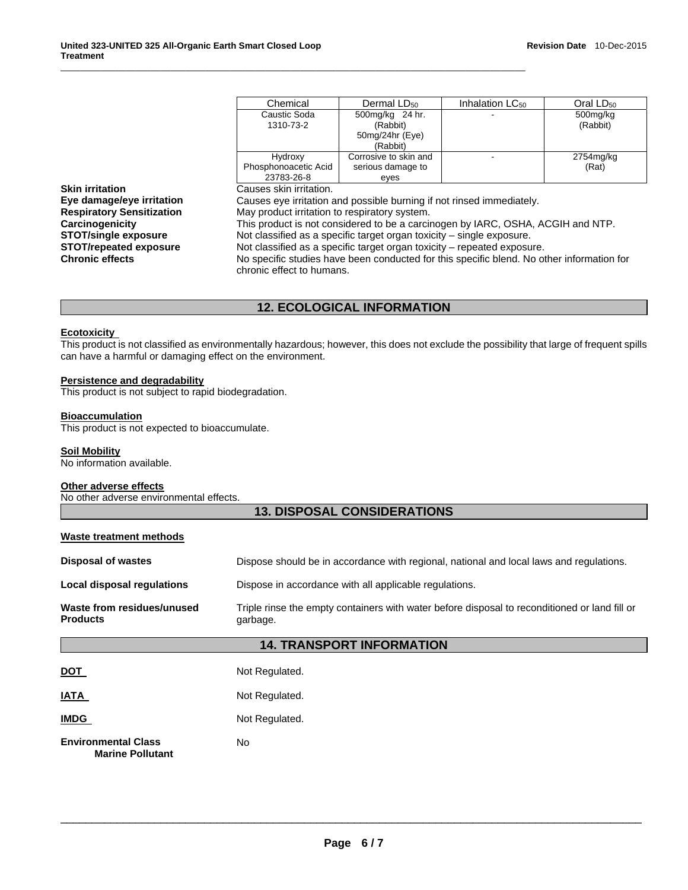|                                  | Chemical                                                                                                               | Dermal LD <sub>50</sub> | Inhalation LC <sub>50</sub> | Oral LD <sub>50</sub> |
|----------------------------------|------------------------------------------------------------------------------------------------------------------------|-------------------------|-----------------------------|-----------------------|
|                                  | Caustic Soda                                                                                                           | 500mg/kg 24 hr.         |                             | 500mg/kg              |
|                                  | 1310-73-2                                                                                                              | (Rabbit)                |                             | (Rabbit)              |
|                                  |                                                                                                                        | $50$ mg/24hr (Eye)      |                             |                       |
|                                  |                                                                                                                        | (Rabbit)                |                             |                       |
|                                  | Hydroxy                                                                                                                | Corrosive to skin and   |                             | 2754mg/kg             |
|                                  | Phosphonoacetic Acid                                                                                                   | serious damage to       |                             | (Rat)                 |
|                                  | 23783-26-8                                                                                                             | eyes                    |                             |                       |
| <b>Skin irritation</b>           | Causes skin irritation.                                                                                                |                         |                             |                       |
| Eye damage/eye irritation        | Causes eye irritation and possible burning if not rinsed immediately.                                                  |                         |                             |                       |
| <b>Respiratory Sensitization</b> | May product irritation to respiratory system.                                                                          |                         |                             |                       |
| Carcinogenicity                  | This product is not considered to be a carcinogen by IARC, OSHA, ACGIH and NTP.                                        |                         |                             |                       |
| <b>STOT/single exposure</b>      | Not classified as a specific target organ toxicity $-$ single exposure.                                                |                         |                             |                       |
| <b>STOT/repeated exposure</b>    | Not classified as a specific target organ toxicity – repeated exposure.                                                |                         |                             |                       |
| <b>Chronic effects</b>           | No specific studies have been conducted for this specific blend. No other information for<br>chronic effect to humans. |                         |                             |                       |

 $\_$  ,  $\_$  ,  $\_$  ,  $\_$  ,  $\_$  ,  $\_$  ,  $\_$  ,  $\_$  ,  $\_$  ,  $\_$  ,  $\_$  ,  $\_$  ,  $\_$  ,  $\_$  ,  $\_$  ,  $\_$  ,  $\_$  ,  $\_$  ,  $\_$ 

## **12. ECOLOGICAL INFORMATION**

## **Ecotoxicity**

This product is not classified as environmentally hazardous; however, this does not exclude the possibility that large of frequent spills can have a harmful or damaging effect on the environment.

#### **Persistence and degradability**

This product is not subject to rapid biodegradation.

## **Bioaccumulation**

This product is not expected to bioaccumulate.

#### **Soil Mobility**

No information available.

#### **Other adverse effects**

No other adverse environmental effects.

## **13. DISPOSAL CONSIDERATIONS**

## **Waste treatment methods**

| <b>Disposal of wastes</b>                             | Dispose should be in accordance with regional, national and local laws and regulations.                   |  |  |
|-------------------------------------------------------|-----------------------------------------------------------------------------------------------------------|--|--|
| Local disposal regulations                            | Dispose in accordance with all applicable regulations.                                                    |  |  |
| Waste from residues/unused<br><b>Products</b>         | Triple rinse the empty containers with water before disposal to reconditioned or land fill or<br>garbage. |  |  |
| <b>14. TRANSPORT INFORMATION</b>                      |                                                                                                           |  |  |
| DOT                                                   | Not Regulated.                                                                                            |  |  |
| <b>IATA</b>                                           | Not Regulated.                                                                                            |  |  |
| <b>IMDG</b>                                           | Not Regulated.                                                                                            |  |  |
| <b>Environmental Class</b><br><b>Marine Pollutant</b> | No.                                                                                                       |  |  |